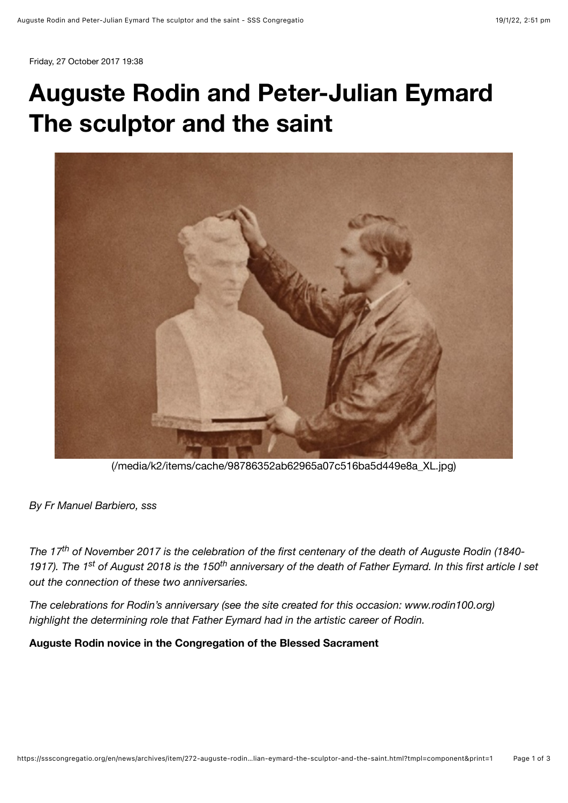Friday, 27 October 2017 19:38

## **Auguste Rodin and Peter-Julian Eymard The sculptor and the saint**



[\(/media/k2/items/cache/98786352ab62965a07c516ba5d449e8a\\_XL.jpg\)](https://ssscongregatio.org/media/k2/items/cache/98786352ab62965a07c516ba5d449e8a_XL.jpg)

*By Fr Manuel Barbiero, sss*

*The 17<sup>th</sup> of November 2017 is the celebration of the first centenary of the death of Auguste Rodin (1840-*1917). The 1<sup>st</sup> of August 2018 is the 150<sup>th</sup> anniversary of the death of Father Eymard. In this first article I set *out the connection of these two anniversaries.*

*The celebrations for Rodin's anniversary (see the site created for this occasion: www.rodin100.org) highlight the determining role that Father Eymard had in the artistic career of Rodin.*

**Auguste Rodin novice in the Congregation of the Blessed Sacrament**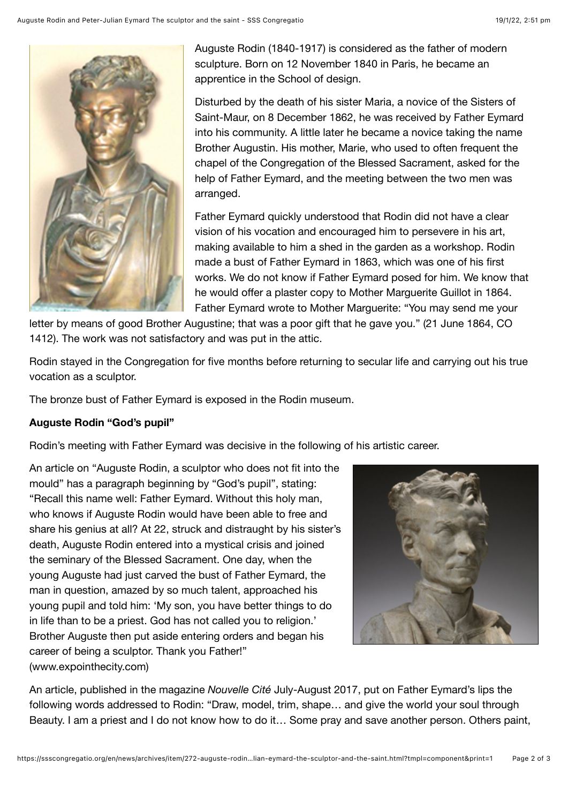

Auguste Rodin (1840-1917) is considered as the father of modern sculpture. Born on 12 November 1840 in Paris, he became an apprentice in the School of design.

Disturbed by the death of his sister Maria, a novice of the Sisters of Saint-Maur, on 8 December 1862, he was received by Father Eymard into his community. A little later he became a novice taking the name Brother Augustin. His mother, Marie, who used to often frequent the chapel of the Congregation of the Blessed Sacrament, asked for the help of Father Eymard, and the meeting between the two men was arranged.

Father Eymard quickly understood that Rodin did not have a clear vision of his vocation and encouraged him to persevere in his art, making available to him a shed in the garden as a workshop. Rodin made a bust of Father Eymard in 1863, which was one of his first works. We do not know if Father Eymard posed for him. We know that he would offer a plaster copy to Mother Marguerite Guillot in 1864. Father Eymard wrote to Mother Marguerite: "You may send me your

letter by means of good Brother Augustine; that was a poor gift that he gave you." (21 June 1864, CO 1412). The work was not satisfactory and was put in the attic.

Rodin stayed in the Congregation for five months before returning to secular life and carrying out his true vocation as a sculptor.

The bronze bust of Father Eymard is exposed in the Rodin museum.

## **Auguste Rodin "God's pupil"**

Rodin's meeting with Father Eymard was decisive in the following of his artistic career.

An article on "Auguste Rodin, a sculptor who does not fit into the mould" has a paragraph beginning by "God's pupil", stating: "Recall this name well: Father Eymard. Without this holy man, who knows if Auguste Rodin would have been able to free and share his genius at all? At 22, struck and distraught by his sister's death, Auguste Rodin entered into a mystical crisis and joined the seminary of the Blessed Sacrament. One day, when the young Auguste had just carved the bust of Father Eymard, the man in question, amazed by so much talent, approached his young pupil and told him: 'My son, you have better things to do in life than to be a priest. God has not called you to religion.' Brother Auguste then put aside entering orders and began his career of being a sculptor. Thank you Father!" (www.expointhecity.com)



An article, published in the magazine *Nouvelle Cité* July-August 2017, put on Father Eymard's lips the following words addressed to Rodin: "Draw, model, trim, shape… and give the world your soul through Beauty. I am a priest and I do not know how to do it… Some pray and save another person. Others paint,